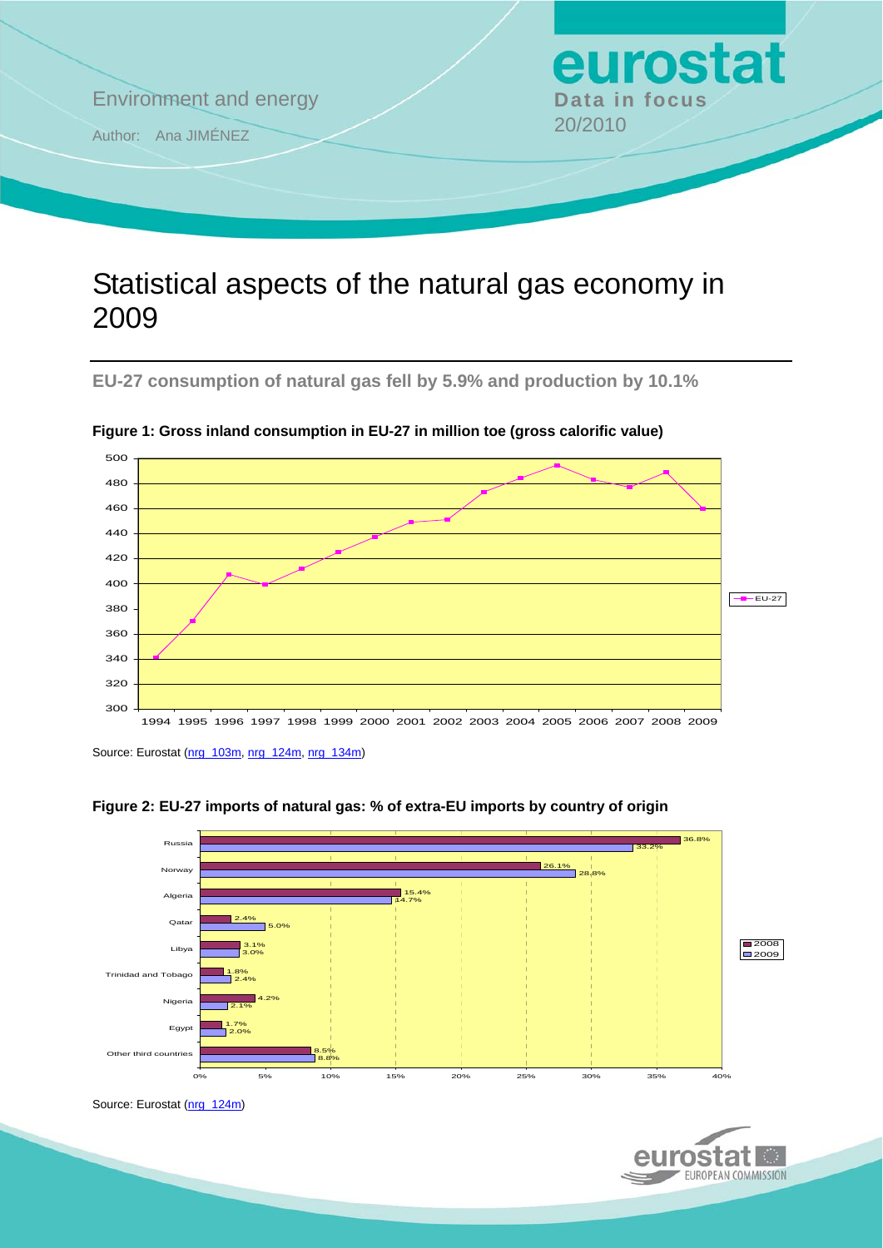

## Statistical aspects of the natural gas economy in 2009

**EU-27 consumption of natural gas fell by 5.9% and production by 10.1%** 



**Figure 1: Gross inland consumption in EU-27 in million toe (gross calorific value)** 

Source: Eurostat [\(nrg\\_103m,](http://ec.europa.eu/eurostat/product?mode=view&code=nrg_103m) [nrg\\_124m](http://ec.europa.eu/eurostat/product?mode=view&code=nrg_124m), [nrg\\_134m\)](http://ec.europa.eu/eurostat/product?mode=view&code=nrg_134m)





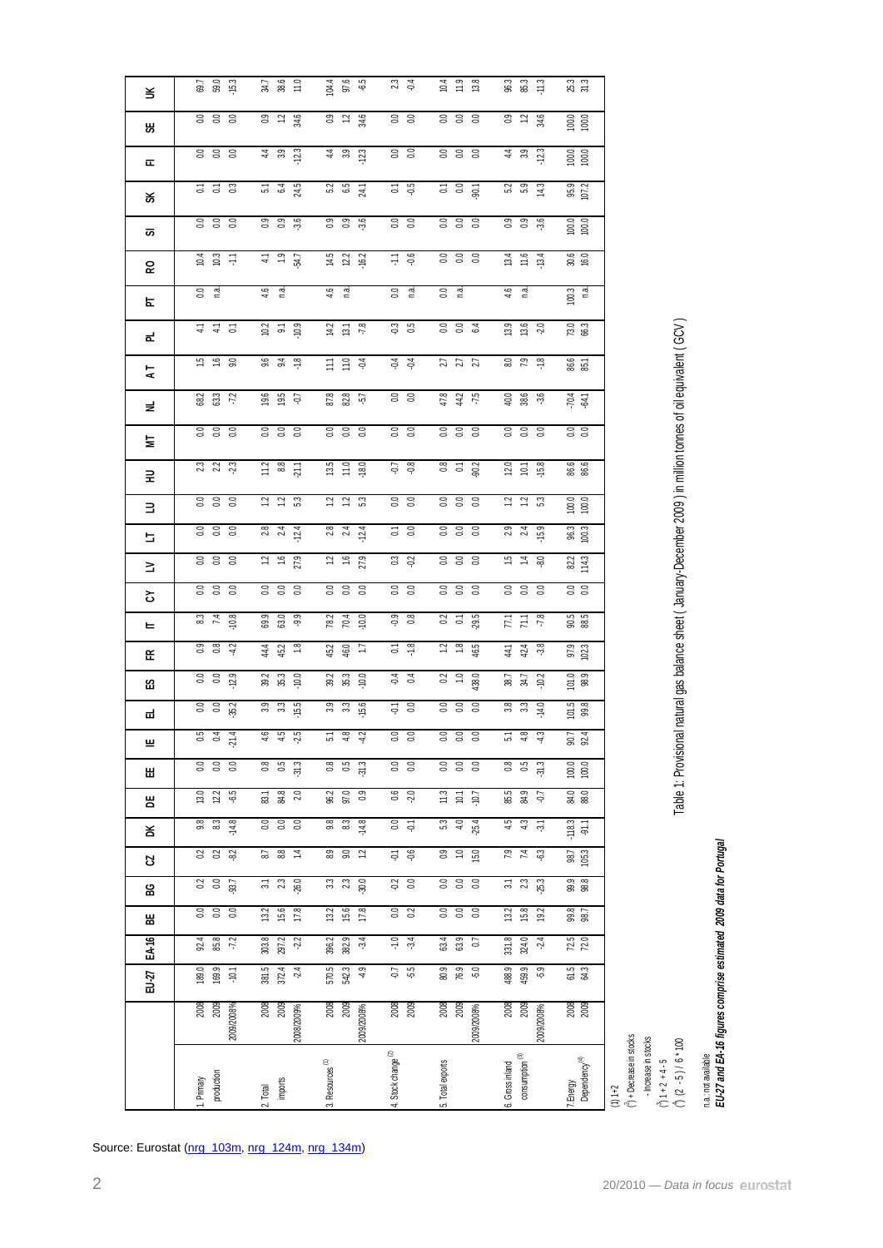| EU-27  | $\frac{8}{200}$<br>2009/2008%                          | $\frac{2008}{2009}$<br>2008/2009%                   | 2009/2008%                                            |                                                               |                                                      |                                                     |                                                     |                                                                                                                  |
|--------|--------------------------------------------------------|-----------------------------------------------------|-------------------------------------------------------|---------------------------------------------------------------|------------------------------------------------------|-----------------------------------------------------|-----------------------------------------------------|------------------------------------------------------------------------------------------------------------------|
|        |                                                        |                                                     | 2008<br>2009                                          | $\frac{2008}{2009}$                                           | 2008<br>2009<br>2009/2008%                           | 2008<br>2009<br>2009/2008%                          | 2008<br>2009                                        | $\binom{3}{1}$ + Decrease in stocks                                                                              |
|        | 189.0<br>169.9<br>$-10.1$                              | 381.5<br>372.4<br>24                                | 570.5<br>542.3<br>$\frac{9}{7}$                       | $\overline{5}$<br>-55                                         | 80.9<br>$76.9$<br>$5.0$                              | 488.9<br>459.9<br>-5.9                              | 61.5<br>64.3                                        |                                                                                                                  |
| EA-16  | 92.4<br>85.8<br>$-72$                                  | 303.8<br>297.2<br>22                                | 396.2<br>382.9<br>$-3.4$                              | $-1.0$                                                        | 63.9<br>63.4<br>$\overline{0}$                       | 331.8<br>324.0<br>24                                | $\frac{72.5}{72.0}$                                 |                                                                                                                  |
| 쎪      | $rac{1}{60}$<br>$\overline{0.0}$                       | 15.6<br>13.2<br>178                                 | 15.6<br>13.2<br>17.8                                  | $\overline{0.0}$<br>$\overline{c}$                            | $\overline{a}$<br>$\overline{a}$<br>0.0              | $\begin{array}{c} 15.8 \end{array}$<br>19.2<br>13.2 | 99.8<br>98.7                                        |                                                                                                                  |
| ဥ္က    | $\begin{bmatrix} 0.2 \\ 0.0 \end{bmatrix}$<br>$-93.7$  | 2.3<br>$\overline{31}$<br>26.0                      | 3.3<br>23<br>30.0                                     | $-0.2$<br>0.0                                                 | $0.0$<br>$0.0$                                       | $\frac{3.1}{2.3}$<br>$-25.3$                        | 99.9<br>98.8                                        |                                                                                                                  |
| R      | 0.2<br>$-8.2$<br>0.2                                   | $8.8$<br>$\overline{1}$<br>6.7                      | 8.9<br>9.0<br>1.2                                     | $-6.6$<br>$\overline{\varphi}$                                | 15.0<br>0.9<br>$\frac{1}{2}$                         | 7.9<br>74<br>္သာ                                    | 98.7<br>105.3                                       |                                                                                                                  |
| ¥      | 9.8<br>8.3<br>$-14.8$                                  | 0.0<br>$\mathbf{C}$<br>$\mathbb{S}$                 | $9.8$<br>$\stackrel{2}{\scriptstyle{8.3}}$<br>$-14.8$ | 0.0<br>$\tilde{\varphi}$                                      | $5.3\,$<br>$-25.4$<br>4.0                            | 4.5<br>4.3<br>$\overline{\phi}$                     | $-118.3$<br>$-91.1$                                 |                                                                                                                  |
| 쁌      | 13.0<br>12.2<br>-65                                    | 84.8<br>$\overline{\textrm{3}}$<br>2.0              | 97.0<br>96.2<br>0.9                                   | $0.6$<br>$-2.0$                                               | $11.3$<br>10.1<br>$-10.7$                            | 85.5<br>84.9<br>LG-                                 | 84.0<br>88.0                                        |                                                                                                                  |
| ш<br>Ш | $rac{0.0}{0.0}$<br>$\overline{a}$                      | $\overline{6}$<br>0.5<br>$-31.3$                    | $\overline{0.8}$<br>$\overline{0.5}$<br>$-31.3$       | $\overline{0}$<br>$\overline{0.0}$                            | $rac{1}{200}$                                        | $\overline{0.8}$<br>$\overline{0.5}$<br>$-31.3$     | ន ន<br>$\begin{array}{c} 100.0 \\ 00.0 \end{array}$ |                                                                                                                  |
| ᆏ      | <b>954</b><br>954<br>274                               | $4.5$<br>$4.5$<br>$7.5$                             | 5.48                                                  | $rac{1}{60}$                                                  | 388                                                  | 5, 4, 3                                             | $\frac{101.5}{99.8}$<br>$-4$                        |                                                                                                                  |
| 63     | 12.9<br>cs<br>cs<br>35.2                               | 39.2<br>35.3<br>.0.0<br>15.5<br>3.3<br>3.3          | 39.2<br>$35.3\,$<br>10.0<br>3.9<br>33<br>15.6         | $\frac{5}{10}$ 0.0                                            | 438.0<br>$rac{1}{600}$                               | 38.7<br>$34.7$<br>$\cdot$ 10.2<br>$3.3$<br>$-14.0$  | $\begin{bmatrix} 101.0 \\ 98.9 \end{bmatrix}$       |                                                                                                                  |
| 또      | 0.8<br>42<br>°.0<br>$rac{0}{0}$                        | 44<br>$\frac{8}{16}$<br>45.2                        | 46.0<br>$\overline{1}$<br>45.2                        | $\frac{8}{1}$<br>$\overline{a}$<br>$-0.4$<br>$\overline{0.4}$ | $\frac{8}{10}$<br>$\ddot{ }$<br>46.5<br>$0.2$<br>1.0 | -3.8<br>424                                         | 97.9<br>102.3                                       |                                                                                                                  |
| ᄂ      | 32 H S                                                 | 63.0<br>$-9.9$<br>69.9                              | 78.2<br>70.4<br>$-10.0$                               | $\overline{6}$ :0<br>0.8                                      | 29.5<br>$rac{2}{6}$                                  | $\frac{1}{12}$                                      | 90.5<br>88.5                                        |                                                                                                                  |
| 5      | 0.00000                                                | 3.38                                                | 388                                                   | S S                                                           | 8 8 8                                                | 388                                                 | $rac{0}{10}$                                        |                                                                                                                  |
| Ξ      | 3300                                                   | $\tilde{c}$<br>$\frac{6}{1}$<br>27.9                | $\tilde{c}$<br>$\frac{6}{1}$<br>27.9                  | $\mathbb{C}^3$<br>Q <sub>2</sub>                              | 333                                                  | 15<br>$\ddot{z}$<br>-8.0                            | 82.2<br>114.3                                       |                                                                                                                  |
| 늘      | 3.38                                                   | 23 24                                               | $28$ $24$ $24$                                        | 5S                                                            | $rac{1}{60}$                                         | 23 21 53                                            | 96.3                                                |                                                                                                                  |
| ∃      | 3.3 <sub>0</sub>                                       | $\frac{12}{12}$ 5.3                                 | 22.2                                                  | $0.0$<br>$0.0$                                                | $0.0$<br>$0.0$                                       | $1.2$ $1.3$                                         | $100.0$<br>$100.0$                                  |                                                                                                                  |
| 로      | 23<br>22<br>23                                         | 11.2<br>$_{\rm 83}^{\rm 8}$<br>21.1                 | 13.5<br>$11.0$<br>18.0                                | $\Gamma$<br>$\frac{8}{3}$                                     | $0.8$<br>0.1<br>90.2                                 | $12.0$<br>10.1<br>15.8                              | 86.6<br>86.6                                        |                                                                                                                  |
| 늘      | 3.38                                                   | $\frac{0.0}{0.0}$                                   | 3.38                                                  | $rac{1}{6}$                                                   | 3.38                                                 | $rac{1}{6}$ $rac{1}{6}$ $rac{1}{6}$                 | ន ន                                                 | Table 1: Provisional natural gas balance sheet (January-December 2009) in million tonnes of oil equivalent (GCV) |
| ž      | 68.2<br>63.3<br>$-7.2$                                 | $\begin{array}{c} 19.6 \\ 19.5 \end{array}$<br>-Q.7 | 87.8<br>82.8<br>$-5.7$                                | 0.0                                                           | 47.8<br>$44.2$<br>$-7.5$                             | 40.0<br>38,6<br>$-3.6$                              | 70.4                                                |                                                                                                                  |
| 74     | <u>ي</u><br>$\frac{6}{16}$<br>9.0                      | $9.6$<br>$9.4$<br>$\frac{8}{10}$                    | $\frac{11}{11.0}$<br>$-0.4$                           | $-0.4$<br>$-0.4$                                              | $2.7$<br>$2.7$                                       | 8.0<br>7.9<br>$\frac{8}{10}$                        | 86.6<br>85.1                                        |                                                                                                                  |
| ᇎ      | $\frac{1}{4}$ 2<br>$\ddot{=}$                          | $10.2$ 5 $\frac{9}{10.9}$                           | $-7.8$<br>$14.2$<br>13.1                              | $\frac{3}{13}$                                                | $rac{1}{6}$ $rac{1}{6}$ $rac{1}{6}$                  | 13.9<br>13.6<br>-2.0                                | 73.0<br>66.3                                        |                                                                                                                  |
| 눈      | $rac{1}{2}$                                            | 4.6<br>್ಲಿ                                          | 46<br>್ಲಿ                                             | $\rm ^{0.0}$<br>ුප්                                           | ី ធ្ន                                                | 4.6<br>ුස්                                          | $100.3$ n.a.                                        |                                                                                                                  |
| ဥ      | $0.3 + 10.3$                                           | 1.9<br>$\frac{1}{4}$<br>54.7                        | $14.5$<br>$12.2$<br>$-16.2$                           | FF.<br>9.6                                                    |                                                      | $13.4$<br>11.6<br>$-13.4$                           | 30.6<br>16.0                                        |                                                                                                                  |
| ळ      |                                                        | 3.6                                                 | 0.9 8.6                                               |                                                               |                                                      | <b>ី</b> ី<br>-3.6                                  | 100.0                                               |                                                                                                                  |
| వ      | 333                                                    | 24.5<br><b>93</b><br>0.91                           |                                                       | $rac{1}{6}$                                                   | $\frac{1}{6}$ 8 $\frac{1}{9}$<br>$rac{1}{600}$       | 14.3                                                | 95.9<br>107.2                                       |                                                                                                                  |
| 匸      | $\begin{smallmatrix} 5 & 2 \\ 0 & 0 \end{smallmatrix}$ | $5\frac{1}{6}$                                      | $5.2$ 6.5 24.1                                        | $-0.5$                                                        |                                                      | $-12.3$<br>5.2<br>5.9                               | 100.0                                               |                                                                                                                  |
| ₩      | 3300<br>3.38                                           | 34.6<br>$0.9$ $1.2$<br>44.33<br>12.3                | 32 \$<br>44.9<br>12.3                                 | $rac{3}{6}$<br>0.0                                            | 333<br>388                                           | $0.9$ $1.2$<br>34.6<br>4.9                          | 100.0                                               |                                                                                                                  |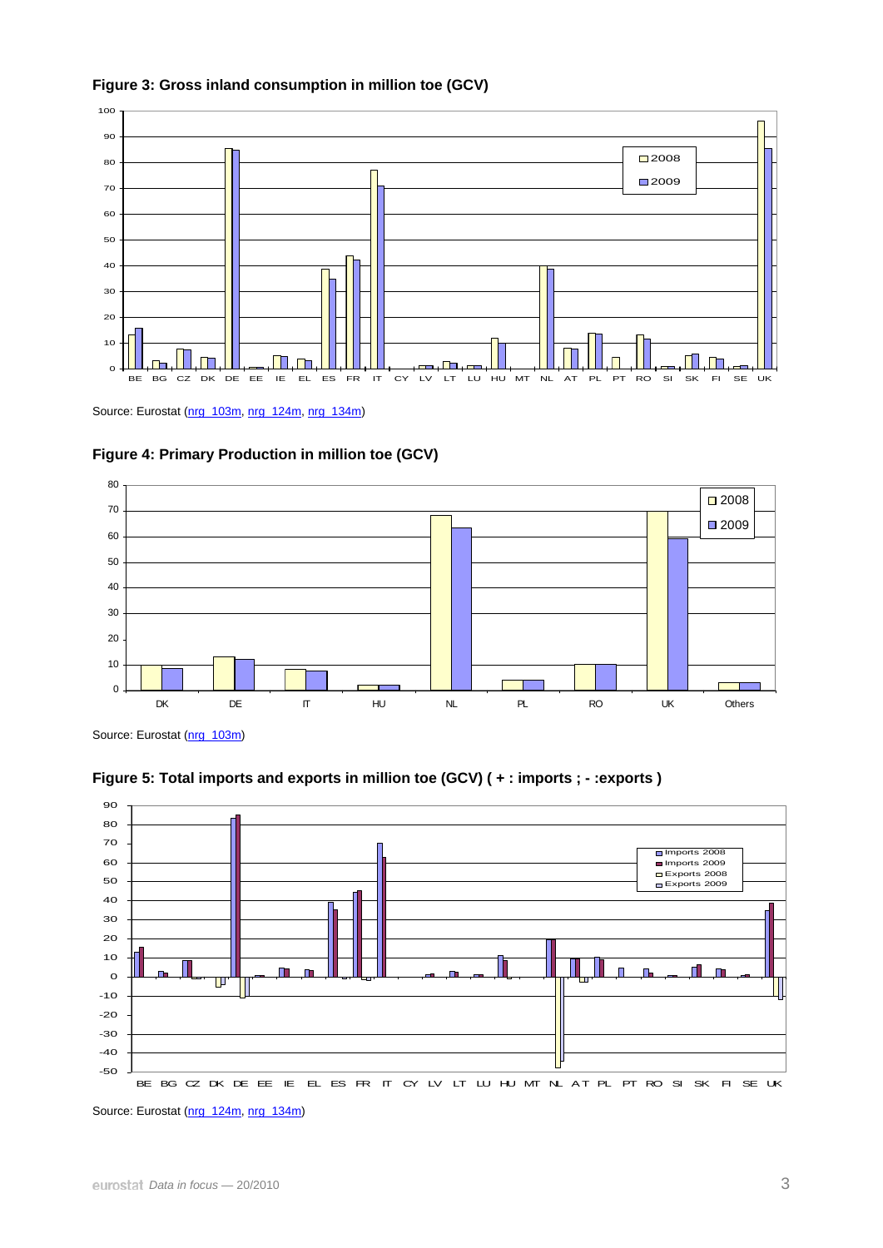



Source: Eurostat ([nrg\\_103m,](http://ec.europa.eu/eurostat/product?mode=view&code=nrg_103m) [nrg\\_124m](http://ec.europa.eu/eurostat/product?mode=view&code=nrg_124m), [nrg\\_134m\)](http://ec.europa.eu/eurostat/product?mode=view&code=nrg_134m)





Source: Eurostat ([nrg\\_103m\)](http://ec.europa.eu/eurostat/product?mode=view&code=nrg_103m)



**Figure 5: Total imports and exports in million toe (GCV) ( + : imports ; - :exports )** 

Source: Eurostat ([nrg\\_124m,](http://ec.europa.eu/eurostat/product?mode=view&code=nrg_124m) [nrg\\_134m](http://ec.europa.eu/eurostat/product?mode=view&code=nrg_134m))